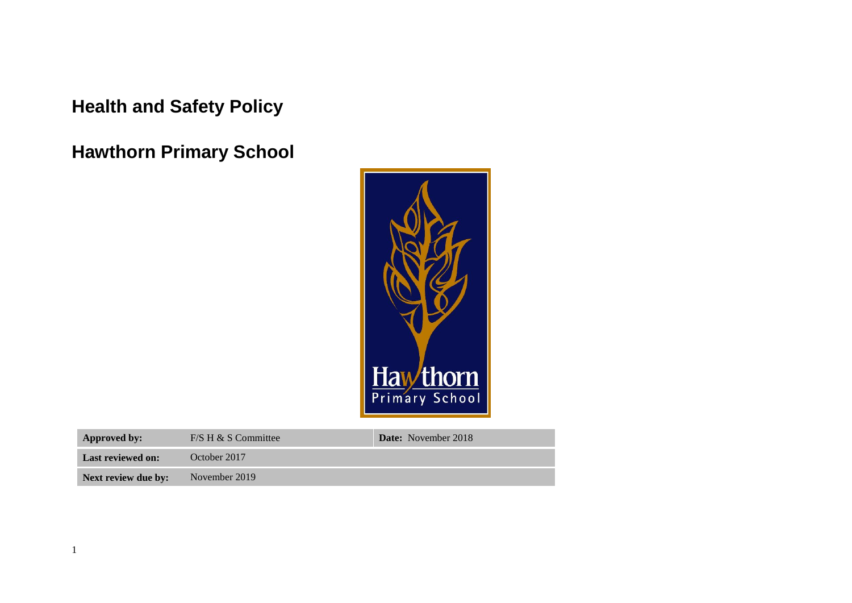**Health and Safety Policy**

**Hawthorn Primary School**



| Approved by:             | $F/S H & S$ Committee | <b>Date:</b> November 2018 |
|--------------------------|-----------------------|----------------------------|
| <b>Last reviewed on:</b> | October 2017          |                            |
| Next review due by:      | November 2019         |                            |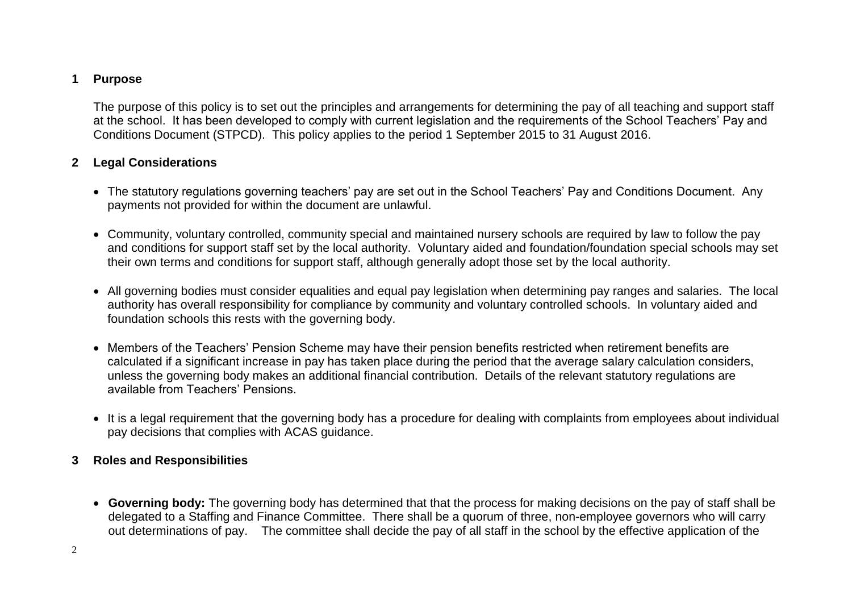## **1 Purpose**

The purpose of this policy is to set out the principles and arrangements for determining the pay of all teaching and support staff at the school. It has been developed to comply with current legislation and the requirements of the School Teachers' Pay and Conditions Document (STPCD). This policy applies to the period 1 September 2015 to 31 August 2016.

## **2 Legal Considerations**

- The statutory regulations governing teachers' pay are set out in the School Teachers' Pay and Conditions Document. Any payments not provided for within the document are unlawful.
- Community, voluntary controlled, community special and maintained nursery schools are required by law to follow the pay and conditions for support staff set by the local authority. Voluntary aided and foundation/foundation special schools may set their own terms and conditions for support staff, although generally adopt those set by the local authority.
- All governing bodies must consider equalities and equal pay legislation when determining pay ranges and salaries. The local authority has overall responsibility for compliance by community and voluntary controlled schools. In voluntary aided and foundation schools this rests with the governing body.
- Members of the Teachers' Pension Scheme may have their pension benefits restricted when retirement benefits are calculated if a significant increase in pay has taken place during the period that the average salary calculation considers, unless the governing body makes an additional financial contribution. Details of the relevant statutory regulations are available from Teachers' Pensions.
- It is a legal requirement that the governing body has a procedure for dealing with complaints from employees about individual pay decisions that complies with ACAS guidance.

## **3 Roles and Responsibilities**

 **Governing body:** The governing body has determined that that the process for making decisions on the pay of staff shall be delegated to a Staffing and Finance Committee. There shall be a quorum of three, non-employee governors who will carry out determinations of pay. The committee shall decide the pay of all staff in the school by the effective application of the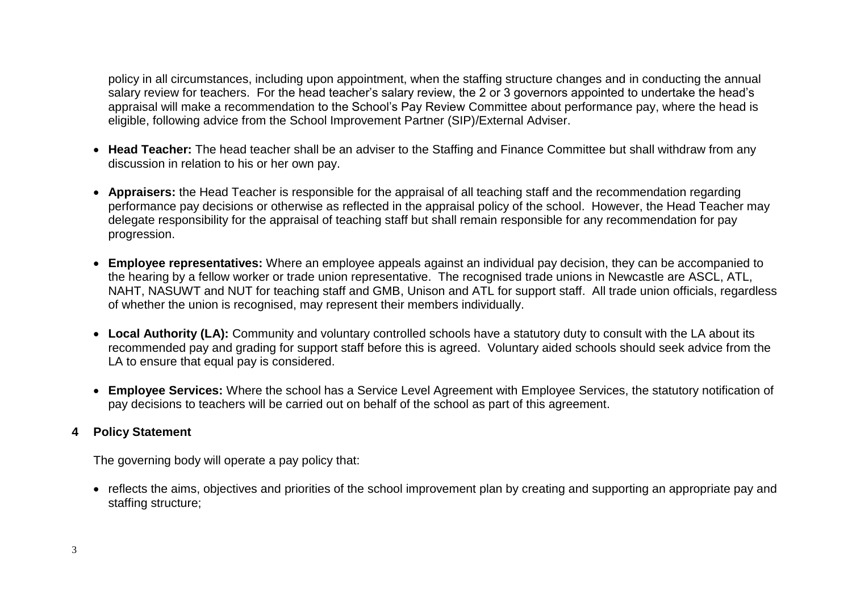policy in all circumstances, including upon appointment, when the staffing structure changes and in conducting the annual salary review for teachers. For the head teacher's salary review, the 2 or 3 governors appointed to undertake the head's appraisal will make a recommendation to the School's Pay Review Committee about performance pay, where the head is eligible, following advice from the School Improvement Partner (SIP)/External Adviser.

- **Head Teacher:** The head teacher shall be an adviser to the Staffing and Finance Committee but shall withdraw from any discussion in relation to his or her own pay.
- **Appraisers:** the Head Teacher is responsible for the appraisal of all teaching staff and the recommendation regarding performance pay decisions or otherwise as reflected in the appraisal policy of the school. However, the Head Teacher may delegate responsibility for the appraisal of teaching staff but shall remain responsible for any recommendation for pay progression.
- **Employee representatives:** Where an employee appeals against an individual pay decision, they can be accompanied to the hearing by a fellow worker or trade union representative. The recognised trade unions in Newcastle are ASCL, ATL, NAHT, NASUWT and NUT for teaching staff and GMB, Unison and ATL for support staff. All trade union officials, regardless of whether the union is recognised, may represent their members individually.
- **Local Authority (LA):** Community and voluntary controlled schools have a statutory duty to consult with the LA about its recommended pay and grading for support staff before this is agreed. Voluntary aided schools should seek advice from the LA to ensure that equal pay is considered.
- **Employee Services:** Where the school has a Service Level Agreement with Employee Services, the statutory notification of pay decisions to teachers will be carried out on behalf of the school as part of this agreement.

## **4 Policy Statement**

The governing body will operate a pay policy that:

• reflects the aims, objectives and priorities of the school improvement plan by creating and supporting an appropriate pay and staffing structure;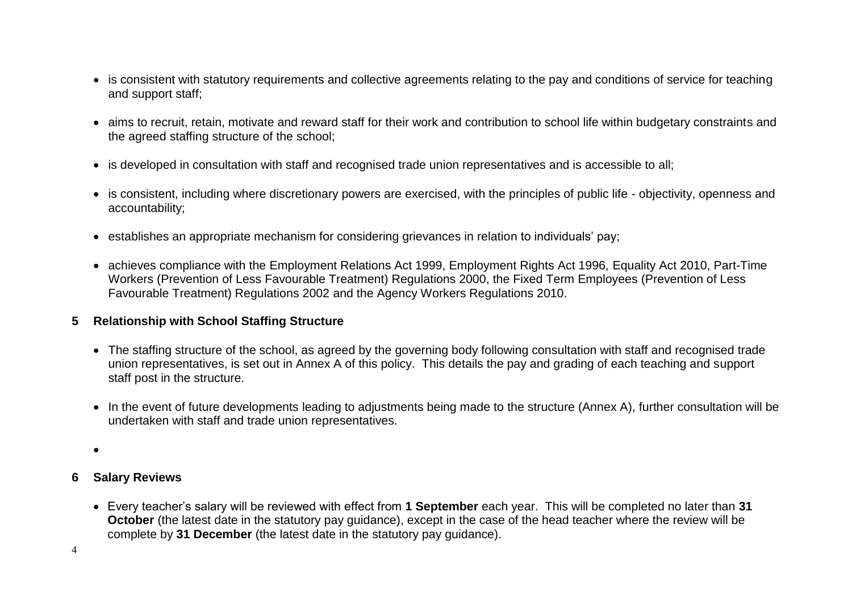- is consistent with statutory requirements and collective agreements relating to the pay and conditions of service for teaching and support staff;
- aims to recruit, retain, motivate and reward staff for their work and contribution to school life within budgetary constraints and the agreed staffing structure of the school;
- is developed in consultation with staff and recognised trade union representatives and is accessible to all;
- is consistent, including where discretionary powers are exercised, with the principles of public life objectivity, openness and accountability;
- establishes an appropriate mechanism for considering grievances in relation to individuals' pay;
- achieves compliance with the Employment Relations Act 1999, Employment Rights Act 1996, Equality Act 2010, Part-Time Workers (Prevention of Less Favourable Treatment) Regulations 2000, the Fixed Term Employees (Prevention of Less Favourable Treatment) Regulations 2002 and the Agency Workers Regulations 2010.

## **5 Relationship with School Staffing Structure**

- The staffing structure of the school, as agreed by the governing body following consultation with staff and recognised trade union representatives, is set out in Annex A of this policy. This details the pay and grading of each teaching and support staff post in the structure.
- In the event of future developments leading to adjustments being made to the structure (Annex A), further consultation will be undertaken with staff and trade union representatives.
- $\bullet$

## **6 Salary Reviews**

 Every teacher's salary will be reviewed with effect from **1 September** each year. This will be completed no later than **31 October** (the latest date in the statutory pay guidance), except in the case of the head teacher where the review will be complete by **31 December** (the latest date in the statutory pay guidance).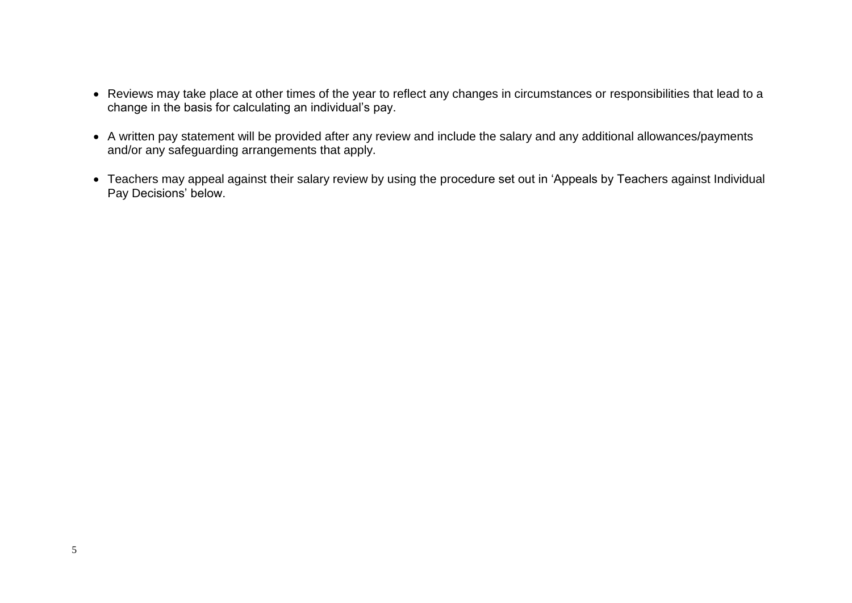- Reviews may take place at other times of the year to reflect any changes in circumstances or responsibilities that lead to a change in the basis for calculating an individual's pay.
- A written pay statement will be provided after any review and include the salary and any additional allowances/payments and/or any safeguarding arrangements that apply.
- Teachers may appeal against their salary review by using the procedure set out in 'Appeals by Teachers against Individual Pay Decisions' below.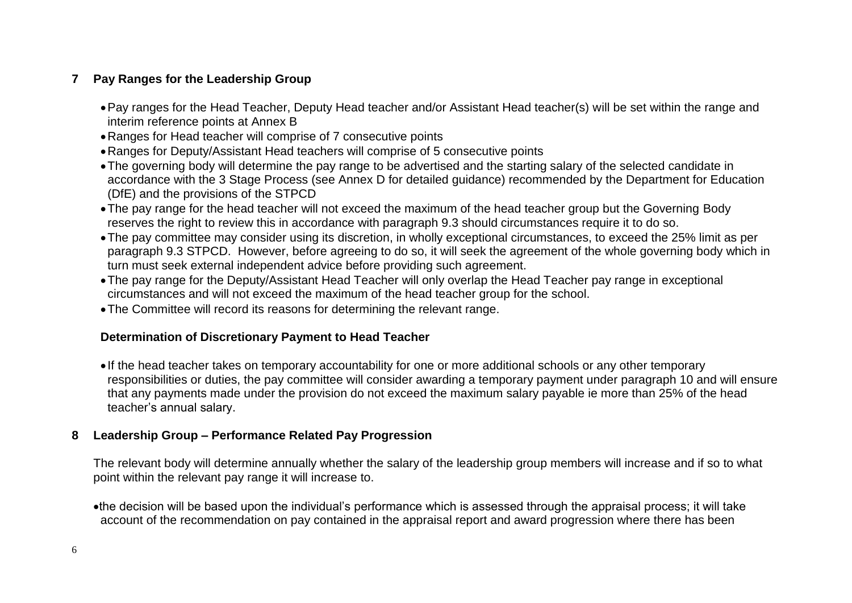## **7 Pay Ranges for the Leadership Group**

- Pay ranges for the Head Teacher, Deputy Head teacher and/or Assistant Head teacher(s) will be set within the range and interim reference points at Annex B
- Ranges for Head teacher will comprise of 7 consecutive points
- Ranges for Deputy/Assistant Head teachers will comprise of 5 consecutive points
- The governing body will determine the pay range to be advertised and the starting salary of the selected candidate in accordance with the 3 Stage Process (see Annex D for detailed guidance) recommended by the Department for Education (DfE) and the provisions of the STPCD
- The pay range for the head teacher will not exceed the maximum of the head teacher group but the Governing Body reserves the right to review this in accordance with paragraph 9.3 should circumstances require it to do so.
- The pay committee may consider using its discretion, in wholly exceptional circumstances, to exceed the 25% limit as per paragraph 9.3 STPCD. However, before agreeing to do so, it will seek the agreement of the whole governing body which in turn must seek external independent advice before providing such agreement.
- The pay range for the Deputy/Assistant Head Teacher will only overlap the Head Teacher pay range in exceptional circumstances and will not exceed the maximum of the head teacher group for the school.
- The Committee will record its reasons for determining the relevant range.

## **Determination of Discretionary Payment to Head Teacher**

 If the head teacher takes on temporary accountability for one or more additional schools or any other temporary responsibilities or duties, the pay committee will consider awarding a temporary payment under paragraph 10 and will ensure that any payments made under the provision do not exceed the maximum salary payable ie more than 25% of the head teacher's annual salary.

## **8 Leadership Group – Performance Related Pay Progression**

The relevant body will determine annually whether the salary of the leadership group members will increase and if so to what point within the relevant pay range it will increase to.

the decision will be based upon the individual's performance which is assessed through the appraisal process; it will take account of the recommendation on pay contained in the appraisal report and award progression where there has been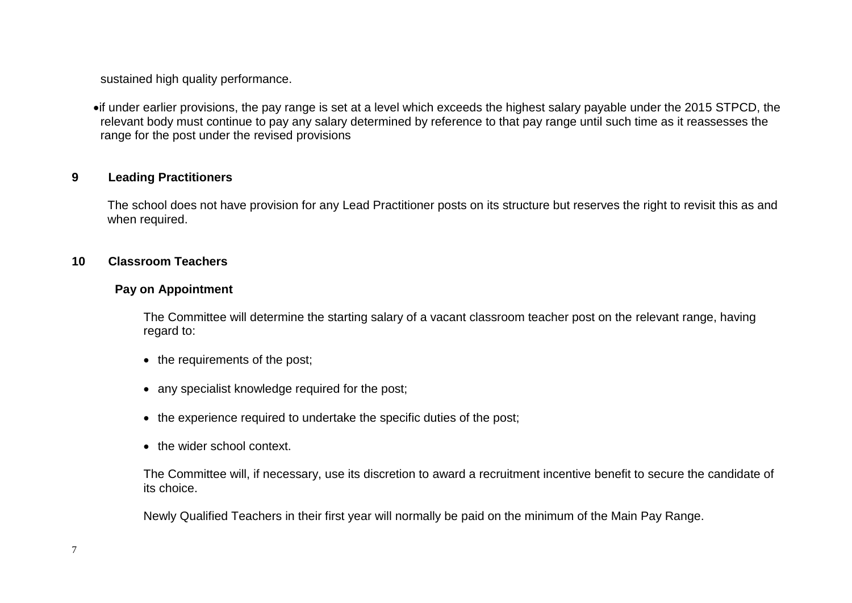sustained high quality performance.

if under earlier provisions, the pay range is set at a level which exceeds the highest salary payable under the 2015 STPCD, the relevant body must continue to pay any salary determined by reference to that pay range until such time as it reassesses the range for the post under the revised provisions

## **9 Leading Practitioners**

The school does not have provision for any Lead Practitioner posts on its structure but reserves the right to revisit this as and when required.

#### **10 Classroom Teachers**

#### **Pay on Appointment**

The Committee will determine the starting salary of a vacant classroom teacher post on the relevant range, having regard to:

- the requirements of the post;
- any specialist knowledge required for the post;
- the experience required to undertake the specific duties of the post;
- the wider school context.

The Committee will, if necessary, use its discretion to award a recruitment incentive benefit to secure the candidate of its choice.

Newly Qualified Teachers in their first year will normally be paid on the minimum of the Main Pay Range.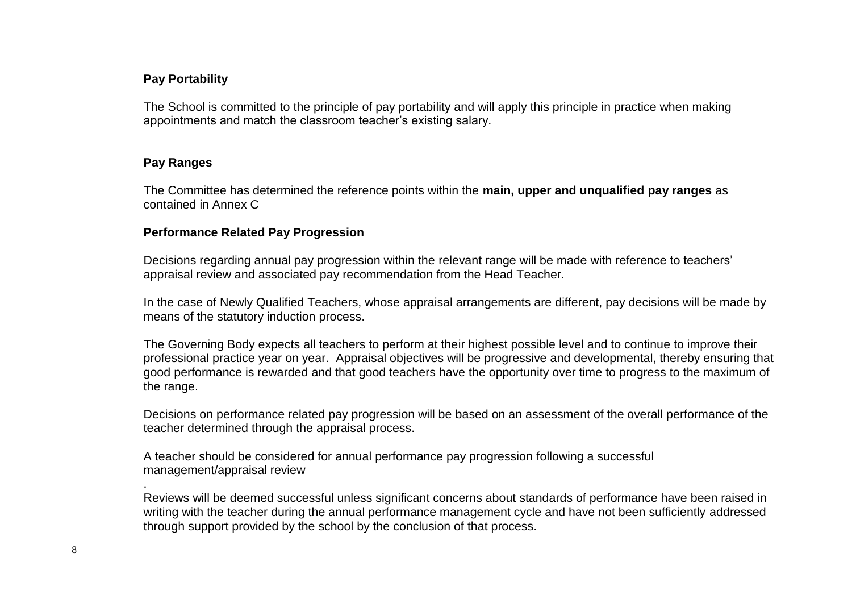## **Pay Portability**

The School is committed to the principle of pay portability and will apply this principle in practice when making appointments and match the classroom teacher's existing salary.

## **Pay Ranges**

The Committee has determined the reference points within the **main, upper and unqualified pay ranges** as contained in Annex C

#### **Performance Related Pay Progression**

Decisions regarding annual pay progression within the relevant range will be made with reference to teachers' appraisal review and associated pay recommendation from the Head Teacher.

In the case of Newly Qualified Teachers, whose appraisal arrangements are different, pay decisions will be made by means of the statutory induction process.

The Governing Body expects all teachers to perform at their highest possible level and to continue to improve their professional practice year on year. Appraisal objectives will be progressive and developmental, thereby ensuring that good performance is rewarded and that good teachers have the opportunity over time to progress to the maximum of the range.

Decisions on performance related pay progression will be based on an assessment of the overall performance of the teacher determined through the appraisal process.

A teacher should be considered for annual performance pay progression following a successful management/appraisal review

Reviews will be deemed successful unless significant concerns about standards of performance have been raised in writing with the teacher during the annual performance management cycle and have not been sufficiently addressed through support provided by the school by the conclusion of that process.

.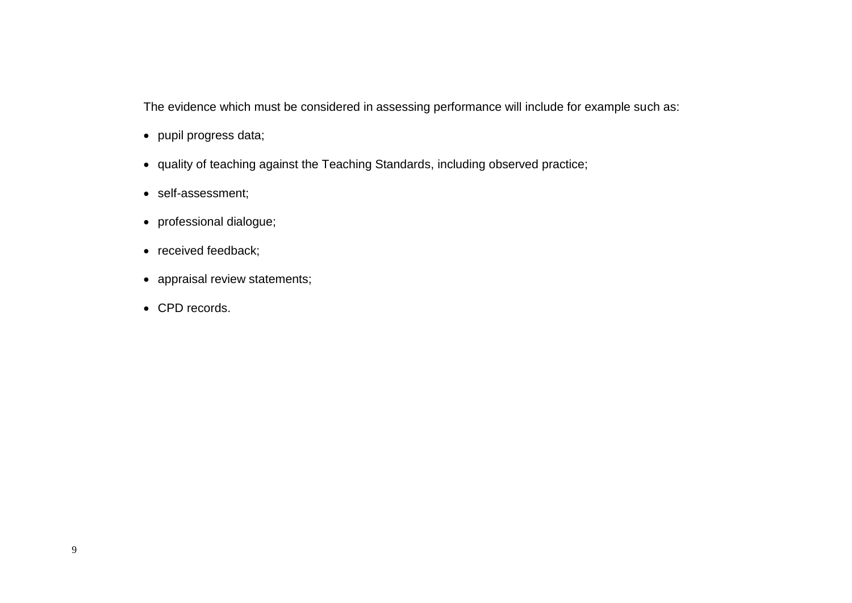The evidence which must be considered in assessing performance will include for example such as:

- pupil progress data;
- quality of teaching against the Teaching Standards, including observed practice;
- self-assessment;
- professional dialogue;
- received feedback;
- appraisal review statements;
- CPD records.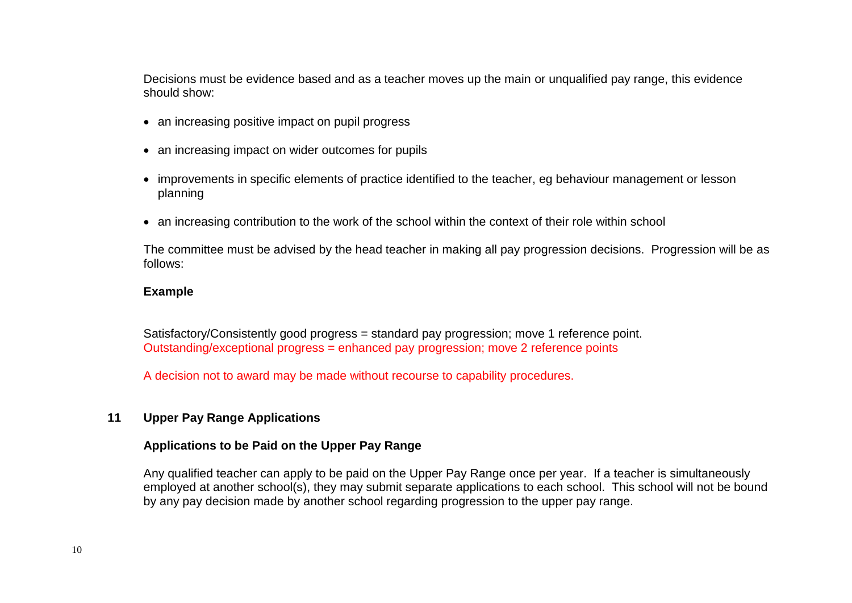Decisions must be evidence based and as a teacher moves up the main or unqualified pay range, this evidence should show:

- an increasing positive impact on pupil progress
- an increasing impact on wider outcomes for pupils
- improvements in specific elements of practice identified to the teacher, eg behaviour management or lesson planning
- an increasing contribution to the work of the school within the context of their role within school

The committee must be advised by the head teacher in making all pay progression decisions. Progression will be as follows:

#### **Example**

Satisfactory/Consistently good progress = standard pay progression; move 1 reference point. Outstanding/exceptional progress = enhanced pay progression; move 2 reference points

A decision not to award may be made without recourse to capability procedures.

## **11 Upper Pay Range Applications**

#### **Applications to be Paid on the Upper Pay Range**

Any qualified teacher can apply to be paid on the Upper Pay Range once per year. If a teacher is simultaneously employed at another school(s), they may submit separate applications to each school. This school will not be bound by any pay decision made by another school regarding progression to the upper pay range.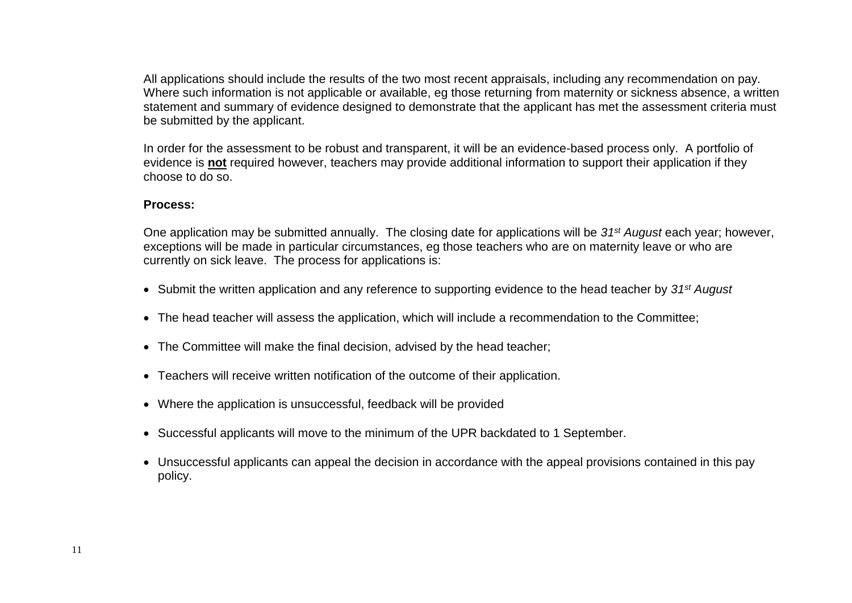All applications should include the results of the two most recent appraisals, including any recommendation on pay. Where such information is not applicable or available, eg those returning from maternity or sickness absence, a written statement and summary of evidence designed to demonstrate that the applicant has met the assessment criteria must be submitted by the applicant.

In order for the assessment to be robust and transparent, it will be an evidence-based process only. A portfolio of evidence is **not** required however, teachers may provide additional information to support their application if they choose to do so.

#### **Process:**

One application may be submitted annually. The closing date for applications will be *31st August* each year; however, exceptions will be made in particular circumstances, eg those teachers who are on maternity leave or who are currently on sick leave. The process for applications is:

- Submit the written application and any reference to supporting evidence to the head teacher by *31st August*
- The head teacher will assess the application, which will include a recommendation to the Committee:
- The Committee will make the final decision, advised by the head teacher:
- Teachers will receive written notification of the outcome of their application.
- Where the application is unsuccessful, feedback will be provided
- Successful applicants will move to the minimum of the UPR backdated to 1 September.
- Unsuccessful applicants can appeal the decision in accordance with the appeal provisions contained in this pay policy.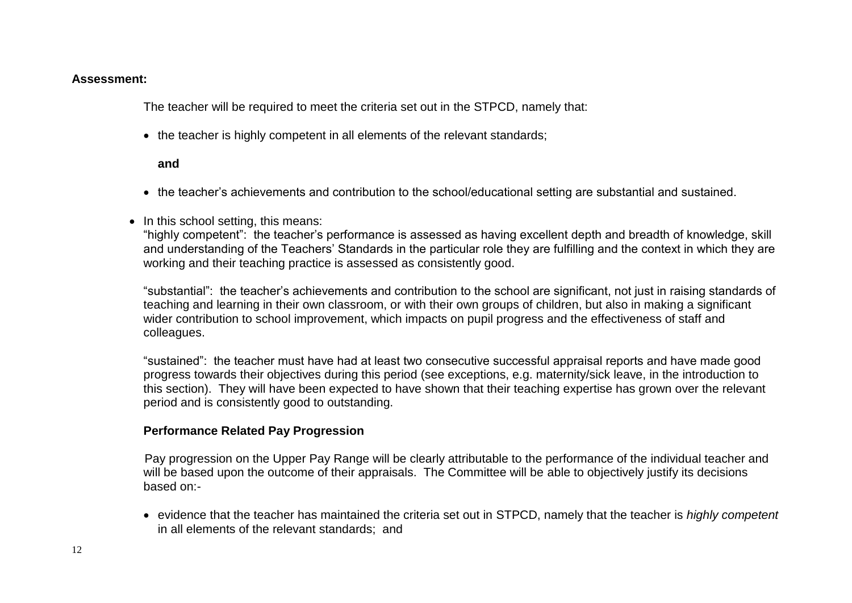#### **Assessment:**

The teacher will be required to meet the criteria set out in the STPCD, namely that:

• the teacher is highly competent in all elements of the relevant standards;

#### **and**

- the teacher's achievements and contribution to the school/educational setting are substantial and sustained.
- In this school setting, this means:

"highly competent": the teacher's performance is assessed as having excellent depth and breadth of knowledge, skill and understanding of the Teachers' Standards in the particular role they are fulfilling and the context in which they are working and their teaching practice is assessed as consistently good.

"substantial": the teacher's achievements and contribution to the school are significant, not just in raising standards of teaching and learning in their own classroom, or with their own groups of children, but also in making a significant wider contribution to school improvement, which impacts on pupil progress and the effectiveness of staff and colleagues.

"sustained": the teacher must have had at least two consecutive successful appraisal reports and have made good progress towards their objectives during this period (see exceptions, e.g. maternity/sick leave, in the introduction to this section). They will have been expected to have shown that their teaching expertise has grown over the relevant period and is consistently good to outstanding.

#### **Performance Related Pay Progression**

Pay progression on the Upper Pay Range will be clearly attributable to the performance of the individual teacher and will be based upon the outcome of their appraisals. The Committee will be able to objectively justify its decisions based on:-

 evidence that the teacher has maintained the criteria set out in STPCD, namely that the teacher is *highly competent* in all elements of the relevant standards; and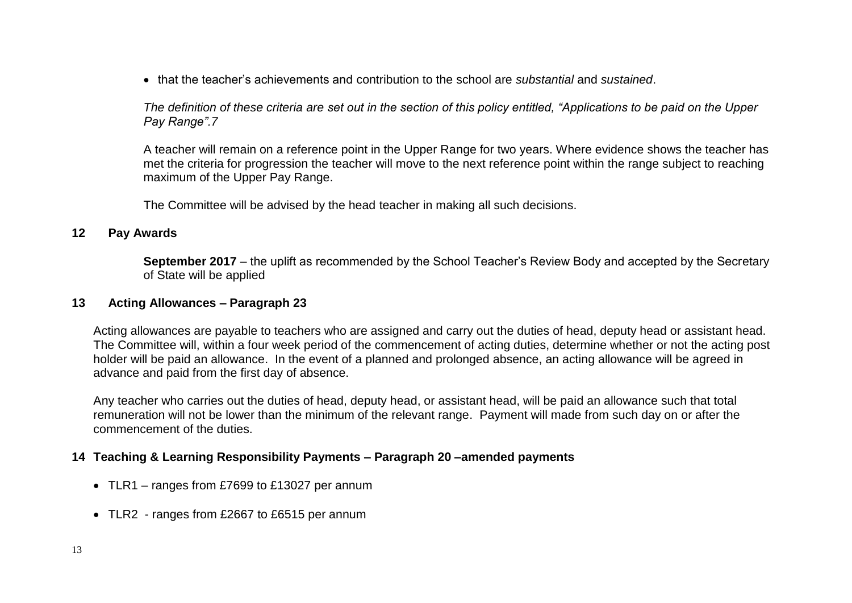that the teacher's achievements and contribution to the school are *substantial* and *sustained*.

*The definition of these criteria are set out in the section of this policy entitled, "Applications to be paid on the Upper Pay Range".7*

A teacher will remain on a reference point in the Upper Range for two years. Where evidence shows the teacher has met the criteria for progression the teacher will move to the next reference point within the range subject to reaching maximum of the Upper Pay Range.

The Committee will be advised by the head teacher in making all such decisions.

#### **12 Pay Awards**

**September 2017** – the uplift as recommended by the School Teacher's Review Body and accepted by the Secretary of State will be applied

#### **13 Acting Allowances – Paragraph 23**

Acting allowances are payable to teachers who are assigned and carry out the duties of head, deputy head or assistant head. The Committee will, within a four week period of the commencement of acting duties, determine whether or not the acting post holder will be paid an allowance. In the event of a planned and prolonged absence, an acting allowance will be agreed in advance and paid from the first day of absence.

Any teacher who carries out the duties of head, deputy head, or assistant head, will be paid an allowance such that total remuneration will not be lower than the minimum of the relevant range. Payment will made from such day on or after the commencement of the duties.

#### **14 Teaching & Learning Responsibility Payments – Paragraph 20 –amended payments**

- TLR1 ranges from £7699 to £13027 per annum
- TLR2 ranges from £2667 to £6515 per annum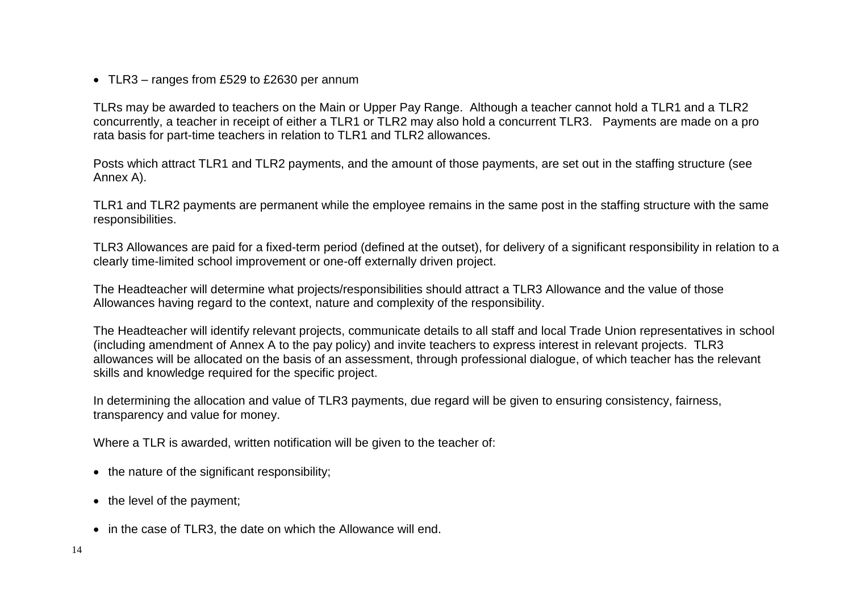• TLR3 – ranges from £529 to £2630 per annum

TLRs may be awarded to teachers on the Main or Upper Pay Range. Although a teacher cannot hold a TLR1 and a TLR2 concurrently, a teacher in receipt of either a TLR1 or TLR2 may also hold a concurrent TLR3. Payments are made on a pro rata basis for part-time teachers in relation to TLR1 and TLR2 allowances.

Posts which attract TLR1 and TLR2 payments, and the amount of those payments, are set out in the staffing structure (see Annex A).

TLR1 and TLR2 payments are permanent while the employee remains in the same post in the staffing structure with the same responsibilities.

TLR3 Allowances are paid for a fixed-term period (defined at the outset), for delivery of a significant responsibility in relation to a clearly time-limited school improvement or one-off externally driven project.

The Headteacher will determine what projects/responsibilities should attract a TLR3 Allowance and the value of those Allowances having regard to the context, nature and complexity of the responsibility.

The Headteacher will identify relevant projects, communicate details to all staff and local Trade Union representatives in school (including amendment of Annex A to the pay policy) and invite teachers to express interest in relevant projects. TLR3 allowances will be allocated on the basis of an assessment, through professional dialogue, of which teacher has the relevant skills and knowledge required for the specific project.

In determining the allocation and value of TLR3 payments, due regard will be given to ensuring consistency, fairness, transparency and value for money.

Where a TLR is awarded, written notification will be given to the teacher of:

- $\bullet$  the nature of the significant responsibility;
- $\bullet$  the level of the payment;
- in the case of TLR3, the date on which the Allowance will end.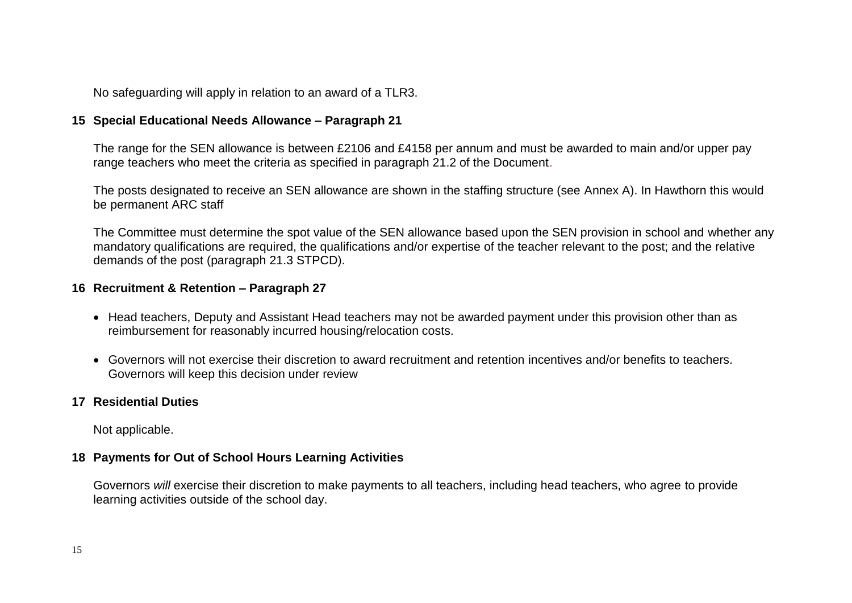No safeguarding will apply in relation to an award of a TLR3.

## **15 Special Educational Needs Allowance – Paragraph 21**

The range for the SEN allowance is between £2106 and £4158 per annum and must be awarded to main and/or upper pay range teachers who meet the criteria as specified in paragraph 21.2 of the Document.

The posts designated to receive an SEN allowance are shown in the staffing structure (see Annex A). In Hawthorn this would be permanent ARC staff

The Committee must determine the spot value of the SEN allowance based upon the SEN provision in school and whether any mandatory qualifications are required, the qualifications and/or expertise of the teacher relevant to the post; and the relative demands of the post (paragraph 21.3 STPCD).

#### **16 Recruitment & Retention – Paragraph 27**

- Head teachers, Deputy and Assistant Head teachers may not be awarded payment under this provision other than as reimbursement for reasonably incurred housing/relocation costs.
- Governors will not exercise their discretion to award recruitment and retention incentives and/or benefits to teachers. Governors will keep this decision under review

## **17 Residential Duties**

Not applicable.

## **18 Payments for Out of School Hours Learning Activities**

Governors *will* exercise their discretion to make payments to all teachers, including head teachers, who agree to provide learning activities outside of the school day.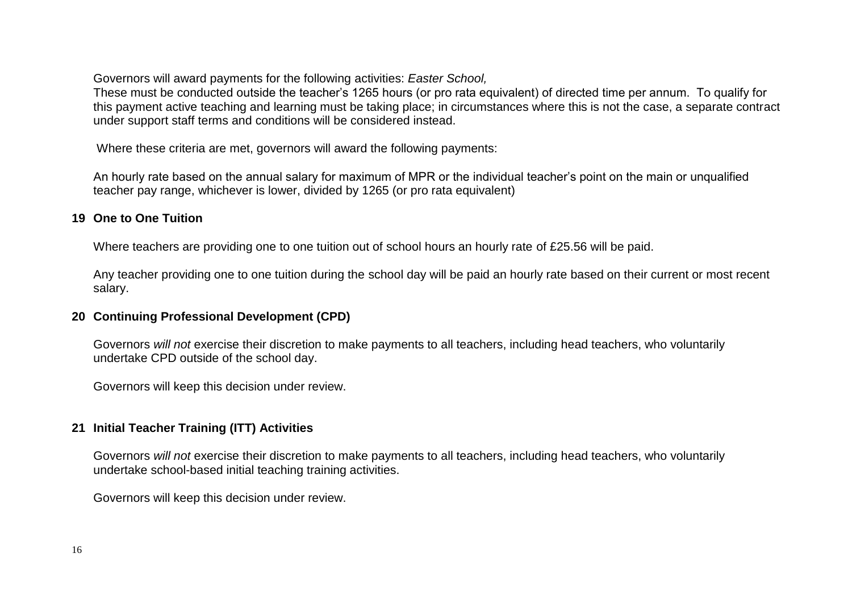Governors will award payments for the following activities: *Easter School,*

These must be conducted outside the teacher's 1265 hours (or pro rata equivalent) of directed time per annum. To qualify for this payment active teaching and learning must be taking place; in circumstances where this is not the case, a separate contract under support staff terms and conditions will be considered instead.

Where these criteria are met, governors will award the following payments:

An hourly rate based on the annual salary for maximum of MPR or the individual teacher's point on the main or unqualified teacher pay range, whichever is lower, divided by 1265 (or pro rata equivalent)

## **19 One to One Tuition**

Where teachers are providing one to one tuition out of school hours an hourly rate of £25.56 will be paid.

Any teacher providing one to one tuition during the school day will be paid an hourly rate based on their current or most recent salary.

## **20 Continuing Professional Development (CPD)**

Governors *will not* exercise their discretion to make payments to all teachers, including head teachers, who voluntarily undertake CPD outside of the school day.

Governors will keep this decision under review.

## **21 Initial Teacher Training (ITT) Activities**

Governors *will not* exercise their discretion to make payments to all teachers, including head teachers, who voluntarily undertake school-based initial teaching training activities.

Governors will keep this decision under review.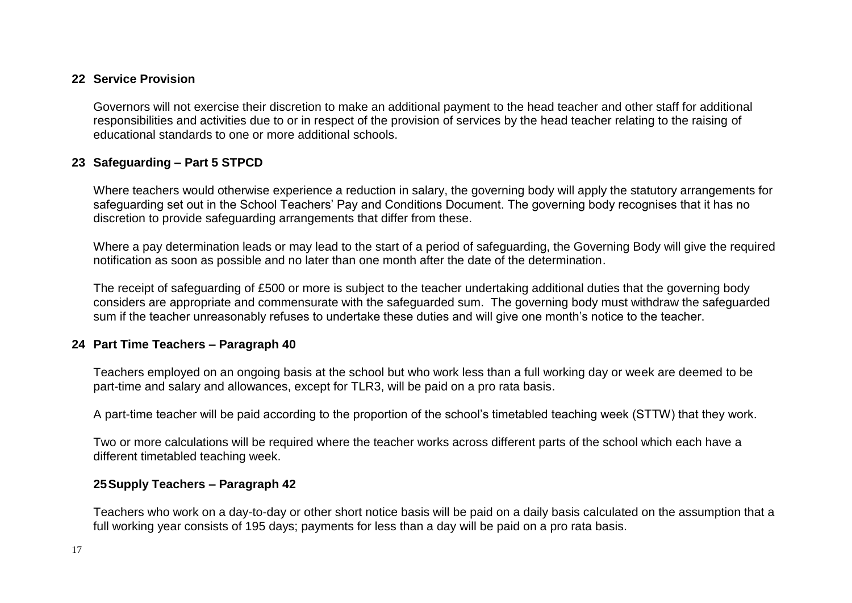## **22 Service Provision**

Governors will not exercise their discretion to make an additional payment to the head teacher and other staff for additional responsibilities and activities due to or in respect of the provision of services by the head teacher relating to the raising of educational standards to one or more additional schools.

## **23 Safeguarding – Part 5 STPCD**

Where teachers would otherwise experience a reduction in salary, the governing body will apply the statutory arrangements for safeguarding set out in the School Teachers' Pay and Conditions Document. The governing body recognises that it has no discretion to provide safeguarding arrangements that differ from these.

Where a pay determination leads or may lead to the start of a period of safeguarding, the Governing Body will give the required notification as soon as possible and no later than one month after the date of the determination.

The receipt of safeguarding of £500 or more is subject to the teacher undertaking additional duties that the governing body considers are appropriate and commensurate with the safeguarded sum. The governing body must withdraw the safeguarded sum if the teacher unreasonably refuses to undertake these duties and will give one month's notice to the teacher.

#### **24 Part Time Teachers – Paragraph 40**

Teachers employed on an ongoing basis at the school but who work less than a full working day or week are deemed to be part-time and salary and allowances, except for TLR3, will be paid on a pro rata basis.

A part-time teacher will be paid according to the proportion of the school's timetabled teaching week (STTW) that they work.

Two or more calculations will be required where the teacher works across different parts of the school which each have a different timetabled teaching week.

#### **25Supply Teachers – Paragraph 42**

Teachers who work on a day-to-day or other short notice basis will be paid on a daily basis calculated on the assumption that a full working year consists of 195 days; payments for less than a day will be paid on a pro rata basis.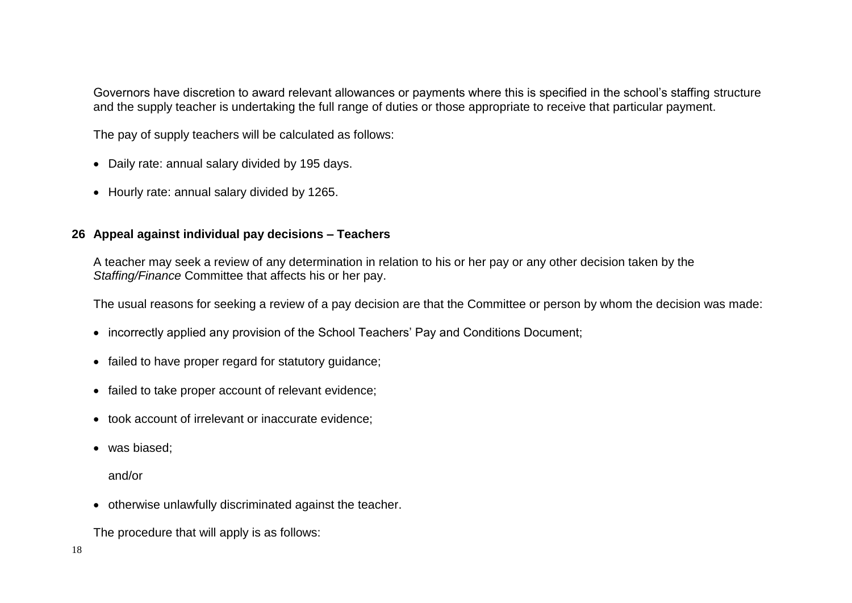Governors have discretion to award relevant allowances or payments where this is specified in the school's staffing structure and the supply teacher is undertaking the full range of duties or those appropriate to receive that particular payment.

The pay of supply teachers will be calculated as follows:

- Daily rate: annual salary divided by 195 days.
- Hourly rate: annual salary divided by 1265.

## **26 Appeal against individual pay decisions – Teachers**

A teacher may seek a review of any determination in relation to his or her pay or any other decision taken by the *Staffing/Finance* Committee that affects his or her pay.

The usual reasons for seeking a review of a pay decision are that the Committee or person by whom the decision was made:

- incorrectly applied any provision of the School Teachers' Pay and Conditions Document;
- failed to have proper regard for statutory guidance;
- failed to take proper account of relevant evidence;
- took account of irrelevant or inaccurate evidence;
- was biased:

and/or

otherwise unlawfully discriminated against the teacher.

The procedure that will apply is as follows: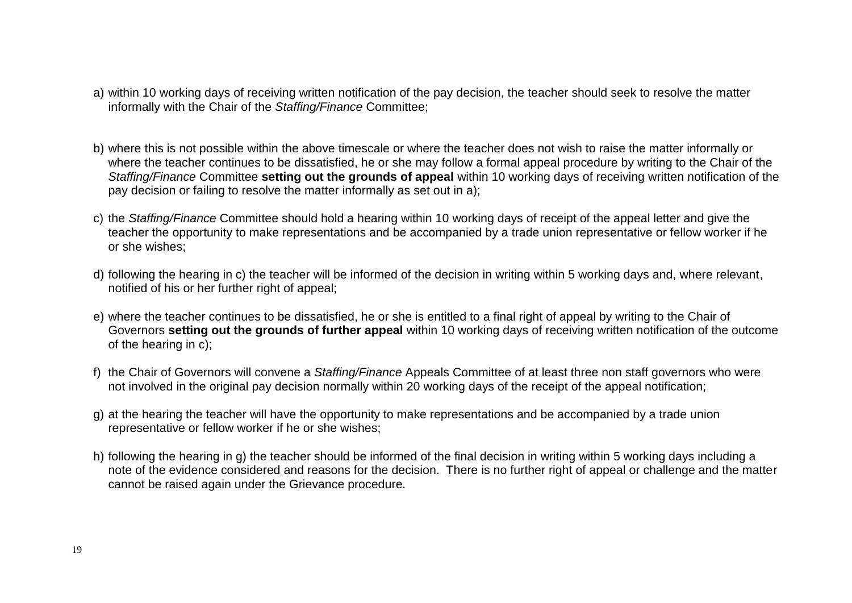- a) within 10 working days of receiving written notification of the pay decision, the teacher should seek to resolve the matter informally with the Chair of the *Staffing/Finance* Committee;
- b) where this is not possible within the above timescale or where the teacher does not wish to raise the matter informally or where the teacher continues to be dissatisfied, he or she may follow a formal appeal procedure by writing to the Chair of the *Staffing/Finance* Committee **setting out the grounds of appeal** within 10 working days of receiving written notification of the pay decision or failing to resolve the matter informally as set out in a);
- c) the *Staffing/Finance* Committee should hold a hearing within 10 working days of receipt of the appeal letter and give the teacher the opportunity to make representations and be accompanied by a trade union representative or fellow worker if he or she wishes;
- d) following the hearing in c) the teacher will be informed of the decision in writing within 5 working days and, where relevant, notified of his or her further right of appeal;
- e) where the teacher continues to be dissatisfied, he or she is entitled to a final right of appeal by writing to the Chair of Governors **setting out the grounds of further appeal** within 10 working days of receiving written notification of the outcome of the hearing in c);
- f) the Chair of Governors will convene a *Staffing/Finance* Appeals Committee of at least three non staff governors who were not involved in the original pay decision normally within 20 working days of the receipt of the appeal notification;
- g) at the hearing the teacher will have the opportunity to make representations and be accompanied by a trade union representative or fellow worker if he or she wishes;
- h) following the hearing in g) the teacher should be informed of the final decision in writing within 5 working days including a note of the evidence considered and reasons for the decision. There is no further right of appeal or challenge and the matter cannot be raised again under the Grievance procedure.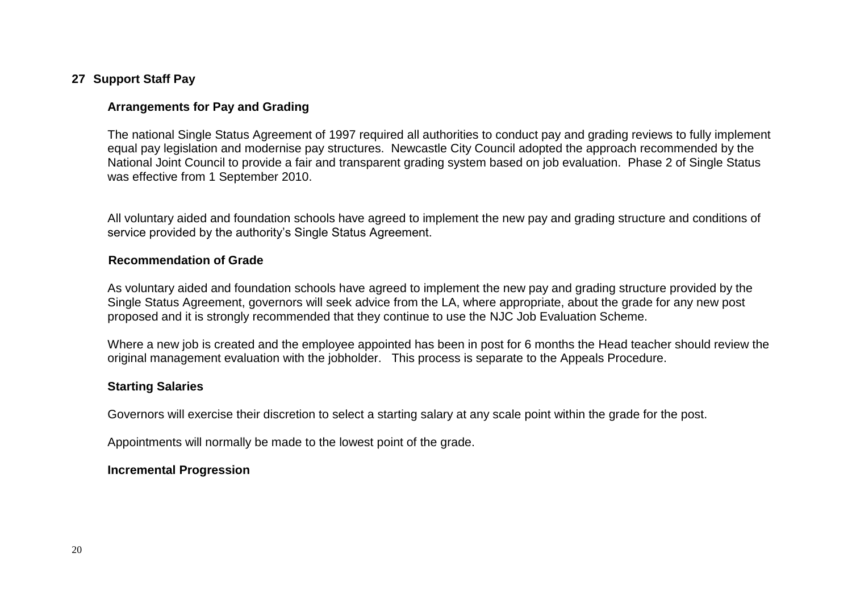## **27 Support Staff Pay**

## **Arrangements for Pay and Grading**

The national Single Status Agreement of 1997 required all authorities to conduct pay and grading reviews to fully implement equal pay legislation and modernise pay structures. Newcastle City Council adopted the approach recommended by the National Joint Council to provide a fair and transparent grading system based on job evaluation. Phase 2 of Single Status was effective from 1 September 2010.

All voluntary aided and foundation schools have agreed to implement the new pay and grading structure and conditions of service provided by the authority's Single Status Agreement.

#### **Recommendation of Grade**

As voluntary aided and foundation schools have agreed to implement the new pay and grading structure provided by the Single Status Agreement, governors will seek advice from the LA, where appropriate, about the grade for any new post proposed and it is strongly recommended that they continue to use the NJC Job Evaluation Scheme.

Where a new job is created and the employee appointed has been in post for 6 months the Head teacher should review the original management evaluation with the jobholder. This process is separate to the Appeals Procedure.

#### **Starting Salaries**

Governors will exercise their discretion to select a starting salary at any scale point within the grade for the post.

Appointments will normally be made to the lowest point of the grade.

#### **Incremental Progression**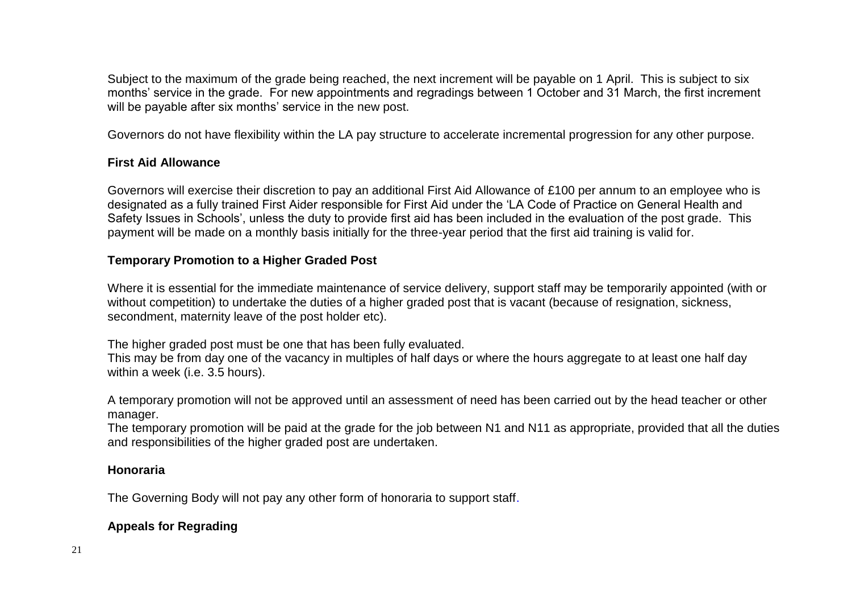Subject to the maximum of the grade being reached, the next increment will be payable on 1 April. This is subject to six months' service in the grade. For new appointments and regradings between 1 October and 31 March, the first increment will be payable after six months' service in the new post.

Governors do not have flexibility within the LA pay structure to accelerate incremental progression for any other purpose.

#### **First Aid Allowance**

Governors will exercise their discretion to pay an additional First Aid Allowance of £100 per annum to an employee who is designated as a fully trained First Aider responsible for First Aid under the 'LA Code of Practice on General Health and Safety Issues in Schools', unless the duty to provide first aid has been included in the evaluation of the post grade. This payment will be made on a monthly basis initially for the three-year period that the first aid training is valid for.

## **Temporary Promotion to a Higher Graded Post**

Where it is essential for the immediate maintenance of service delivery, support staff may be temporarily appointed (with or without competition) to undertake the duties of a higher graded post that is vacant (because of resignation, sickness, secondment, maternity leave of the post holder etc).

The higher graded post must be one that has been fully evaluated.

This may be from day one of the vacancy in multiples of half days or where the hours aggregate to at least one half day within a week (i.e. 3.5 hours).

A temporary promotion will not be approved until an assessment of need has been carried out by the head teacher or other manager.

The temporary promotion will be paid at the grade for the job between N1 and N11 as appropriate, provided that all the duties and responsibilities of the higher graded post are undertaken.

## **Honoraria**

The Governing Body will not pay any other form of honoraria to support staff.

## **Appeals for Regrading**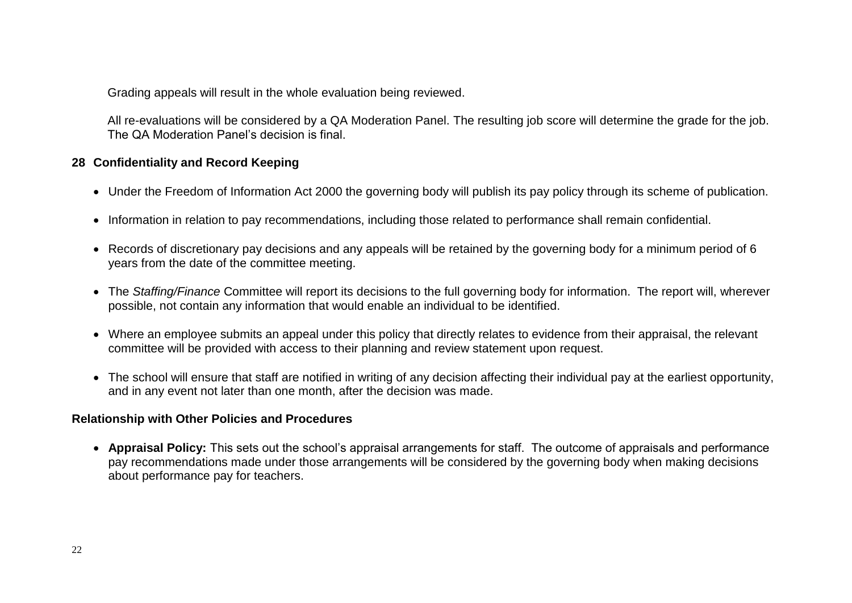Grading appeals will result in the whole evaluation being reviewed.

All re-evaluations will be considered by a QA Moderation Panel. The resulting job score will determine the grade for the job. The QA Moderation Panel's decision is final.

## **28 Confidentiality and Record Keeping**

- Under the Freedom of Information Act 2000 the governing body will publish its pay policy through its scheme of publication.
- Information in relation to pay recommendations, including those related to performance shall remain confidential.
- Records of discretionary pay decisions and any appeals will be retained by the governing body for a minimum period of 6 years from the date of the committee meeting.
- The *Staffing/Finance* Committee will report its decisions to the full governing body for information. The report will, wherever possible, not contain any information that would enable an individual to be identified.
- Where an employee submits an appeal under this policy that directly relates to evidence from their appraisal, the relevant committee will be provided with access to their planning and review statement upon request.
- The school will ensure that staff are notified in writing of any decision affecting their individual pay at the earliest opportunity, and in any event not later than one month, after the decision was made.

## **Relationship with Other Policies and Procedures**

 **Appraisal Policy:** This sets out the school's appraisal arrangements for staff. The outcome of appraisals and performance pay recommendations made under those arrangements will be considered by the governing body when making decisions about performance pay for teachers.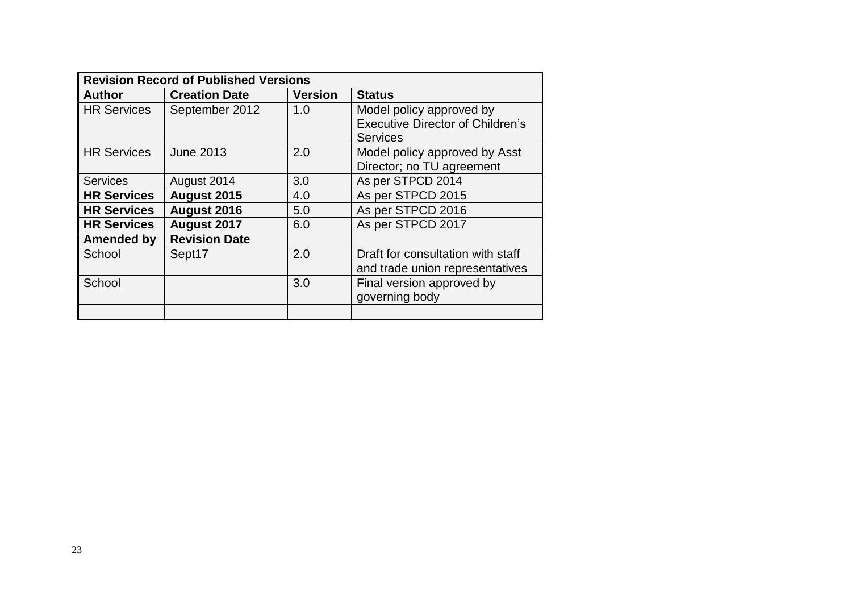| <b>Revision Record of Published Versions</b> |                      |                |                                         |
|----------------------------------------------|----------------------|----------------|-----------------------------------------|
| <b>Author</b>                                | <b>Creation Date</b> | <b>Version</b> | <b>Status</b>                           |
| <b>HR Services</b>                           | September 2012       | 1.0            | Model policy approved by                |
|                                              |                      |                | <b>Executive Director of Children's</b> |
|                                              |                      |                | <b>Services</b>                         |
| <b>HR Services</b>                           | <b>June 2013</b>     | 2.0            | Model policy approved by Asst           |
|                                              |                      |                | Director; no TU agreement               |
| <b>Services</b>                              | August 2014          | 3.0            | As per STPCD 2014                       |
| <b>HR Services</b>                           | August 2015          | 4.0            | As per STPCD 2015                       |
| <b>HR Services</b>                           | August 2016          | 5.0            | As per STPCD 2016                       |
| <b>HR Services</b>                           | August 2017          | 6.0            | As per STPCD 2017                       |
| <b>Amended by</b>                            | <b>Revision Date</b> |                |                                         |
| School                                       | Sept17               | 2.0            | Draft for consultation with staff       |
|                                              |                      |                | and trade union representatives         |
| School                                       |                      | 3.0            | Final version approved by               |
|                                              |                      |                | governing body                          |
|                                              |                      |                |                                         |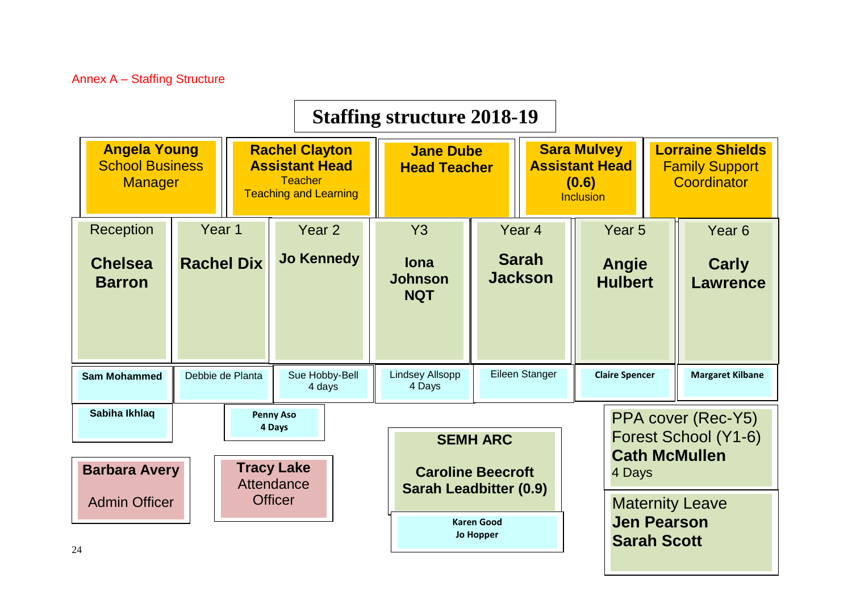|                                                                 |                   |                                                                                                  |                                                               | <b>Staffing structure 2018-19</b>                                            |                                       |                                                                                                                                             |                                                                    |                                |                         |                   |                                            |
|-----------------------------------------------------------------|-------------------|--------------------------------------------------------------------------------------------------|---------------------------------------------------------------|------------------------------------------------------------------------------|---------------------------------------|---------------------------------------------------------------------------------------------------------------------------------------------|--------------------------------------------------------------------|--------------------------------|-------------------------|-------------------|--------------------------------------------|
| <b>Angela Young</b><br><b>School Business</b><br><b>Manager</b> |                   | <b>Rachel Clayton</b><br><b>Assistant Head</b><br><b>Teacher</b><br><b>Teaching and Learning</b> |                                                               | <b>Jane Dube</b><br><b>Head Teacher</b>                                      |                                       | <b>Lorraine Shields</b><br><b>Sara Mulvey</b><br><b>Assistant Head</b><br><b>Family Support</b><br>(0.6)<br>Coordinator<br><b>Inclusion</b> |                                                                    |                                |                         |                   |                                            |
| Reception                                                       | Year 1            |                                                                                                  | Year <sub>2</sub>                                             | <b>Y3</b>                                                                    |                                       | Year <sub>4</sub>                                                                                                                           | Year <sub>5</sub>                                                  |                                |                         | Year <sub>6</sub> |                                            |
| <b>Chelsea</b><br><b>Barron</b>                                 | <b>Rachel Dix</b> |                                                                                                  | <b>Jo Kennedy</b>                                             | <b>lona</b><br><b>Johnson</b><br><b>NQT</b>                                  |                                       | <b>Sarah</b><br><b>Jackson</b>                                                                                                              |                                                                    | Angie<br><b>Hulbert</b>        |                         |                   | <b>Carly</b><br><b>Lawrence</b>            |
| <b>Sam Mohammed</b>                                             | Debbie de Planta  |                                                                                                  | Sue Hobby-Bell<br>4 days                                      | <b>Lindsey Allsopp</b><br>4 Days                                             |                                       | Eileen Stanger                                                                                                                              | <b>Claire Spencer</b>                                              |                                | <b>Margaret Kilbane</b> |                   |                                            |
| Sabiha Ikhlaq<br><b>Barbara Avery</b>                           |                   |                                                                                                  | <b>Penny Aso</b><br>4 Days<br><b>Tracy Lake</b><br>Attendance | <b>SEMH ARC</b><br><b>Caroline Beecroft</b><br><b>Sarah Leadbitter (0.9)</b> |                                       |                                                                                                                                             |                                                                    | <b>Cath McMullen</b><br>4 Days |                         |                   | PPA cover (Rec-Y5)<br>Forest School (Y1-6) |
| <b>Admin Officer</b><br>$\bigcap$                               |                   |                                                                                                  | <b>Officer</b>                                                |                                                                              | <b>Karen Good</b><br><b>Jo Hopper</b> |                                                                                                                                             | <b>Maternity Leave</b><br><b>Jen Pearson</b><br><b>Sarah Scott</b> |                                |                         |                   |                                            |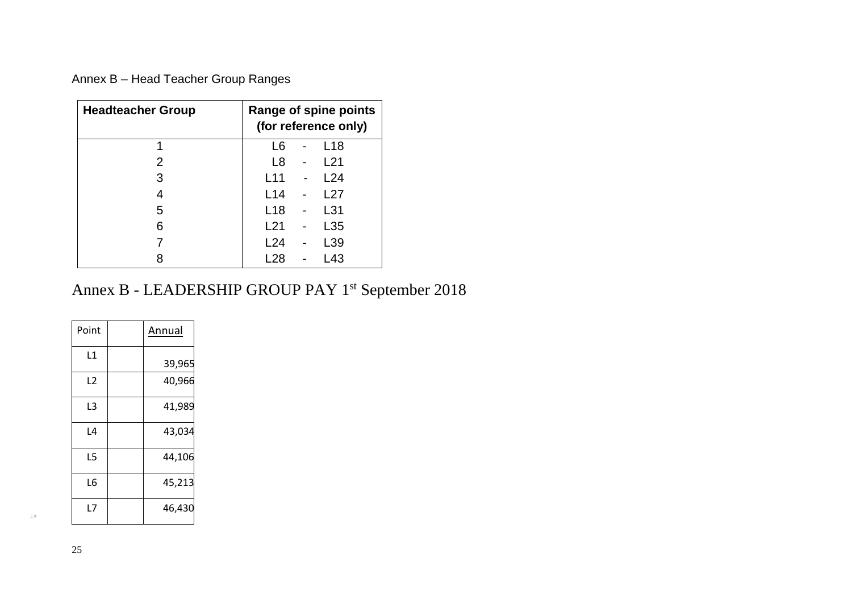Annex B – Head Teacher Group Ranges

| <b>Headteacher Group</b> | Range of spine points<br>(for reference only) |  |                 |  |  |  |
|--------------------------|-----------------------------------------------|--|-----------------|--|--|--|
| 1                        | L6                                            |  | L <sub>18</sub> |  |  |  |
| 2                        | L8                                            |  | L21             |  |  |  |
| 3                        | L11                                           |  | L24             |  |  |  |
| 4                        | L14                                           |  | l 27            |  |  |  |
| 5                        | L <sub>18</sub>                               |  | L31             |  |  |  |
| 6                        | L21                                           |  | L35             |  |  |  |
|                          | L24                                           |  | L39             |  |  |  |
|                          | L28                                           |  | L43             |  |  |  |

## Annex B - LEADERSHIP GROUP PAY 1<sup>st</sup> September 2018

| Point | Annual |
|-------|--------|
| L1    | 39,965 |
| L2    | 40,966 |
| L3    | 41,989 |
| L4    | 43,034 |
| L5    | 44,106 |
| L6    | 45,213 |
| L7    | 46,430 |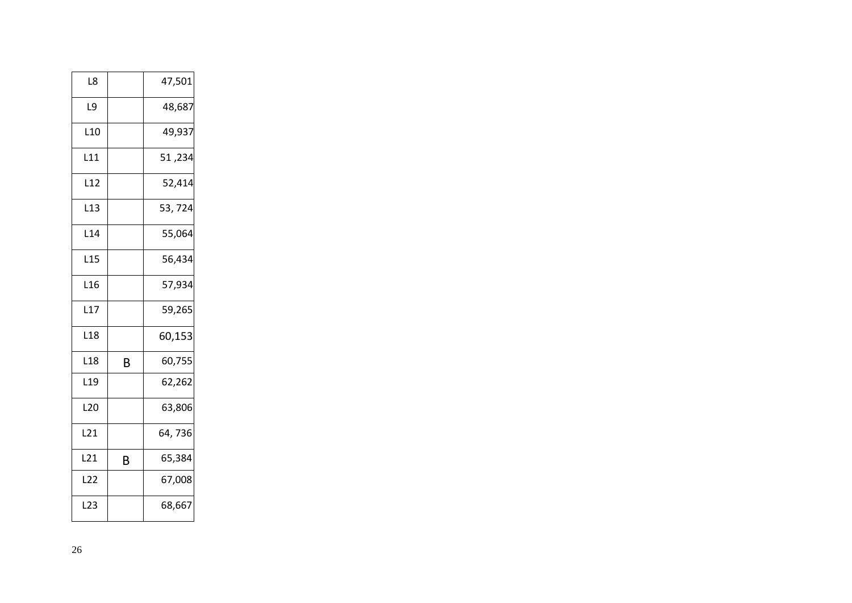| L8              |   | 47,501  |
|-----------------|---|---------|
| L9              |   | 48,687  |
| L <sub>10</sub> |   | 49,937  |
| L11             |   | 51, 51  |
| L12             |   | 52,414  |
| L <sub>13</sub> |   | 53, 724 |
| L14             |   | 55,064  |
| L15             |   | 56,434  |
| L <sub>16</sub> |   | 57,934  |
| L17             |   | 59,265  |
| L <sub>18</sub> |   | 60,153  |
| L <sub>18</sub> | B | 60,755  |
| L <sub>19</sub> |   | 62,262  |
| L <sub>20</sub> |   | 63,806  |
| L21             |   | 64,736  |
| L <sub>21</sub> | B | 65,384  |
| L22             |   | 67,008  |
| L23             |   | 68,667  |
|                 |   |         |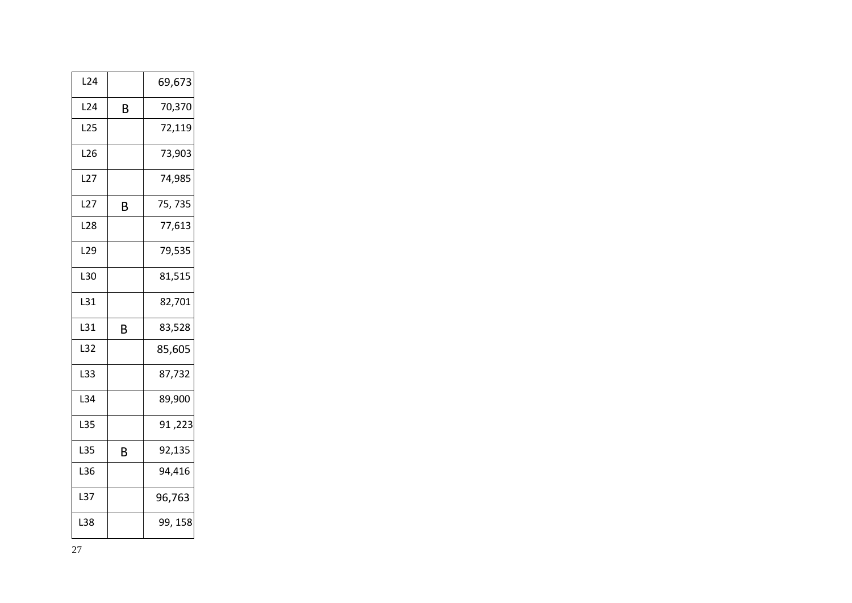| L <sub>24</sub> |   | 69,673  |
|-----------------|---|---------|
| L <sub>24</sub> | B | 70,370  |
| L25             |   | 72,119  |
| L26             |   | 73,903  |
| L27             |   | 74,985  |
| L27             | В | 75, 735 |
| L <sub>28</sub> |   | 77,613  |
| L <sub>29</sub> |   | 79,535  |
| L30             |   | 81,515  |
| L31             |   | 82,701  |
| L31             | В | 83,528  |
| L32             |   | 85,605  |
| L33             |   | 87,732  |
| L34             |   | 89,900  |
| L35             |   | 91,223  |
| L35             | B | 92,135  |
| L36             |   | 94,416  |
| L37             |   | 96,763  |
| L38             |   | 99, 158 |
|                 |   |         |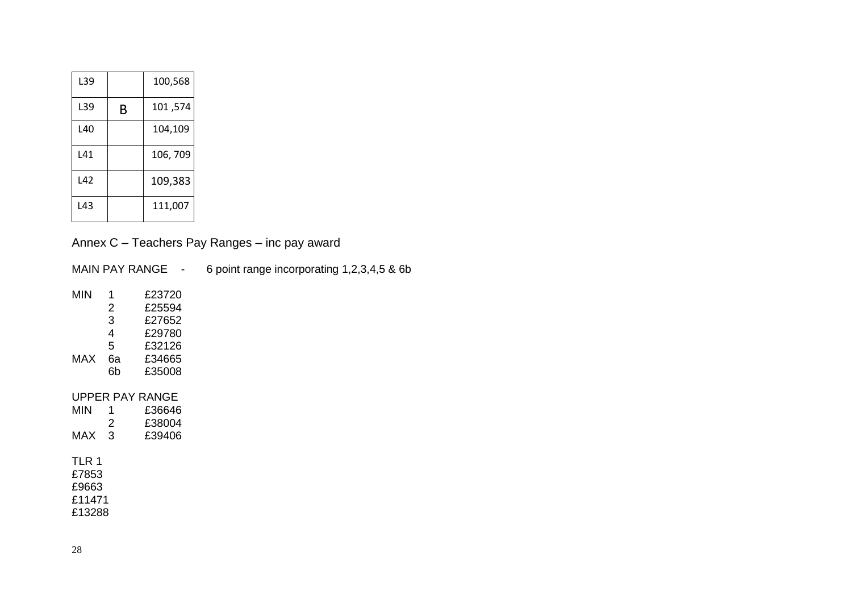| L39 |   | 100,568  |
|-----|---|----------|
| L39 | B | 101,574  |
| L40 |   | 104,109  |
| L41 |   | 106, 709 |
| L42 |   | 109,383  |
| L43 |   | 111,007  |

Annex C – Teachers Pay Ranges – inc pay award

MAIN PAY RANGE - 6 point range incorporating 1,2,3,4,5 & 6b

| MIN | 1  | £23720 |
|-----|----|--------|
|     | 2  | £25594 |
|     | 3  | £27652 |
|     | 4  | £29780 |
|     | 5  | £32126 |
| MAX | 6а | £34665 |
|     | 6b | £35008 |

#### UPPER PAY RANGE

| 1   | £36646 |
|-----|--------|
| 2   | £38004 |
| - 3 | £39406 |
|     |        |

#### TLR 1 £7853

£9663

£11471

£13288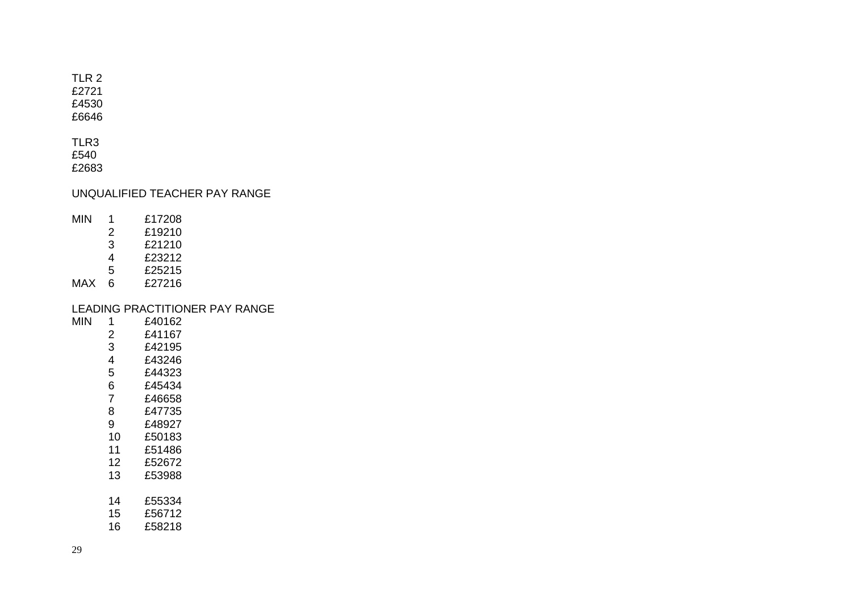TLR 2

£2721

£4530 £6646

TLR3 £540

£2683

UNQUALIFIED TEACHER PAY RANGE

MIN 1 £17208<br>2 £19210

- 2 £19210<br>3 £21210
	- £21210
	- 4 £23212<br>5 £25215
	- £25215<br>£27216
- $MAX 6$

# LEADING PRACTITIONER PAY RANGE<br>MIN 1 £40162

- 1 £40162<br>2 £41167 2 £41167<br>3 £42195
	- 3 £42195<br>4 £43246
	- 4 £43246<br>5 £44323
	- 5 £44323
	- 6 £45434<br>7 £46658
	- 7 £46658 £47735
	- 9 £48927
	- 10 £50183
	- 11 £51486<br>12 £52672
	- 12 £52672
	- £53988
	- 14 £55334
	- 15 £56712
	- 16 £58218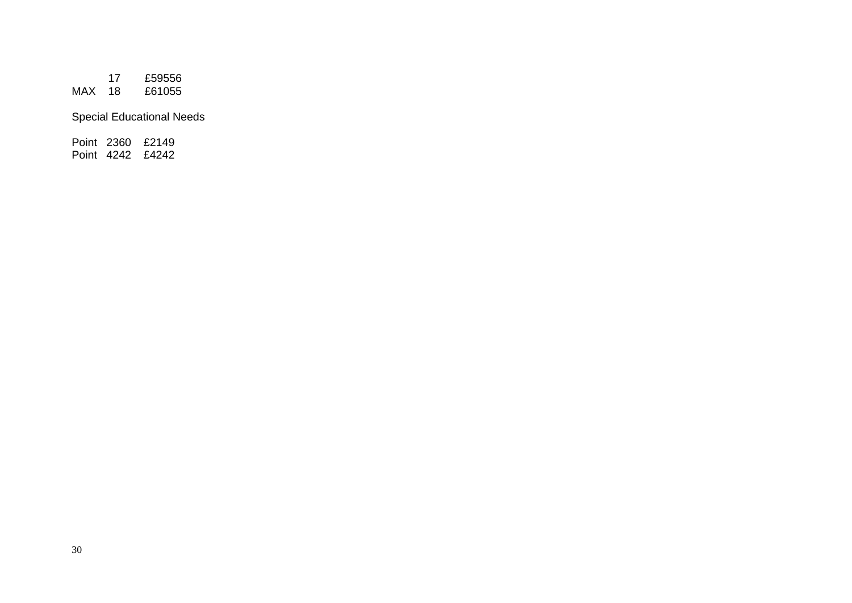17 £59556  $MAX$  18

Special Educational Needs

Point 2360 £2149 Point 4242 £4242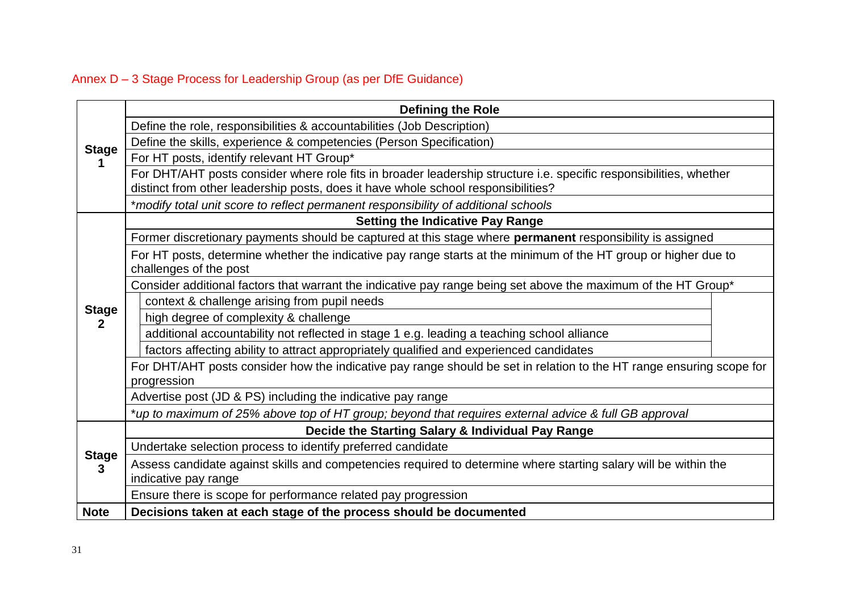## Annex D – 3 Stage Process for Leadership Group (as per DfE Guidance)

|                              | <b>Defining the Role</b>                                                                                                                                                                                |  |
|------------------------------|---------------------------------------------------------------------------------------------------------------------------------------------------------------------------------------------------------|--|
|                              | Define the role, responsibilities & accountabilities (Job Description)                                                                                                                                  |  |
| <b>Stage</b>                 | Define the skills, experience & competencies (Person Specification)                                                                                                                                     |  |
|                              | For HT posts, identify relevant HT Group*                                                                                                                                                               |  |
|                              | For DHT/AHT posts consider where role fits in broader leadership structure i.e. specific responsibilities, whether<br>distinct from other leadership posts, does it have whole school responsibilities? |  |
|                              | *modify total unit score to reflect permanent responsibility of additional schools                                                                                                                      |  |
|                              | <b>Setting the Indicative Pay Range</b>                                                                                                                                                                 |  |
|                              | Former discretionary payments should be captured at this stage where permanent responsibility is assigned                                                                                               |  |
|                              | For HT posts, determine whether the indicative pay range starts at the minimum of the HT group or higher due to<br>challenges of the post                                                               |  |
|                              | Consider additional factors that warrant the indicative pay range being set above the maximum of the HT Group*                                                                                          |  |
|                              | context & challenge arising from pupil needs                                                                                                                                                            |  |
| <b>Stage</b><br>$\mathbf{2}$ | high degree of complexity & challenge                                                                                                                                                                   |  |
|                              | additional accountability not reflected in stage 1 e.g. leading a teaching school alliance                                                                                                              |  |
|                              | factors affecting ability to attract appropriately qualified and experienced candidates                                                                                                                 |  |
|                              | For DHT/AHT posts consider how the indicative pay range should be set in relation to the HT range ensuring scope for<br>progression                                                                     |  |
|                              | Advertise post (JD & PS) including the indicative pay range                                                                                                                                             |  |
|                              | *up to maximum of 25% above top of HT group; beyond that requires external advice & full GB approval                                                                                                    |  |
|                              | Decide the Starting Salary & Individual Pay Range                                                                                                                                                       |  |
|                              | Undertake selection process to identify preferred candidate                                                                                                                                             |  |
| <b>Stage</b><br>3            | Assess candidate against skills and competencies required to determine where starting salary will be within the<br>indicative pay range                                                                 |  |
|                              | Ensure there is scope for performance related pay progression                                                                                                                                           |  |
| <b>Note</b>                  | Decisions taken at each stage of the process should be documented                                                                                                                                       |  |